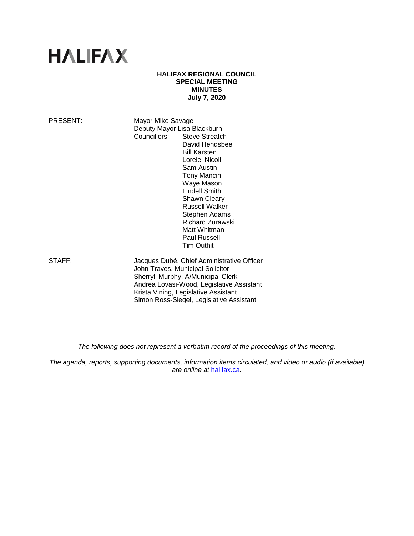# **HALIFAX**

#### **HALIFAX REGIONAL COUNCIL SPECIAL MEETING MINUTES July 7, 2020**

PRESENT: Mayor Mike Savage Deputy Mayor Lisa Blackburn Councillors: Steve Streatch David Hendsbee Bill Karsten Lorelei Nicoll Sam Austin Tony Mancini Waye Mason Lindell Smith Shawn Cleary Russell Walker Stephen Adams Richard Zurawski Matt Whitman Paul Russell

STAFF: Jacques Dubé, Chief Administrative Officer John Traves, Municipal Solicitor Sherryll Murphy, A/Municipal Clerk Andrea Lovasi-Wood, Legislative Assistant Krista Vining, Legislative Assistant Simon Ross-Siegel, Legislative Assistant

Tim Outhit

*The following does not represent a verbatim record of the proceedings of this meeting.*

*The agenda, reports, supporting documents, information items circulated, and video or audio (if available) are online at* [halifax.ca](http://www.halifax.ca/)*.*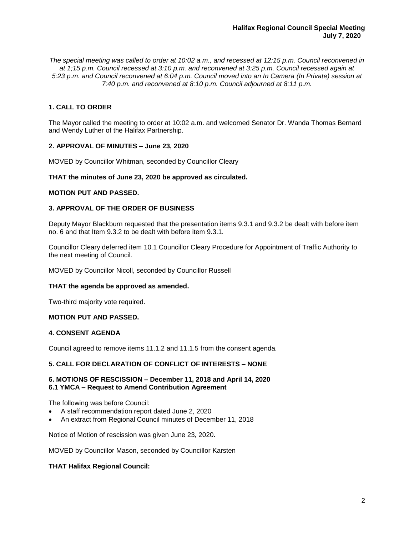*The special meeting was called to order at 10:02 a.m., and recessed at 12:15 p.m. Council reconvened in at 1;15 p.m. Council recessed at 3:10 p.m. and reconvened at 3:25 p.m. Council recessed again at 5:23 p.m. and Council reconvened at 6:04 p.m. Council moved into an In Camera (In Private) session at 7:40 p.m. and reconvened at 8:10 p.m. Council adjourned at 8:11 p.m.*

# **1. CALL TO ORDER**

The Mayor called the meeting to order at 10:02 a.m. and welcomed Senator Dr. Wanda Thomas Bernard and Wendy Luther of the Halifax Partnership.

## **2. APPROVAL OF MINUTES – June 23, 2020**

MOVED by Councillor Whitman, seconded by Councillor Cleary

## **THAT the minutes of June 23, 2020 be approved as circulated.**

### **MOTION PUT AND PASSED.**

## **3. APPROVAL OF THE ORDER OF BUSINESS**

Deputy Mayor Blackburn requested that the presentation items 9.3.1 and 9.3.2 be dealt with before item no. 6 and that Item 9.3.2 to be dealt with before item 9.3.1.

Councillor Cleary deferred item 10.1 Councillor Cleary Procedure for Appointment of Traffic Authority to the next meeting of Council.

MOVED by Councillor Nicoll, seconded by Councillor Russell

### **THAT the agenda be approved as amended.**

Two-third majority vote required.

## **MOTION PUT AND PASSED.**

## **4. CONSENT AGENDA**

Council agreed to remove items 11.1.2 and 11.1.5 from the consent agenda*.*

### **5. CALL FOR DECLARATION OF CONFLICT OF INTERESTS – NONE**

### **6. MOTIONS OF RESCISSION – December 11, 2018 and April 14, 2020 6.1 YMCA – Request to Amend Contribution Agreement**

The following was before Council:

- A staff recommendation report dated June 2, 2020
- An extract from Regional Council minutes of December 11, 2018

Notice of Motion of rescission was given June 23, 2020.

MOVED by Councillor Mason, seconded by Councillor Karsten

### **THAT Halifax Regional Council:**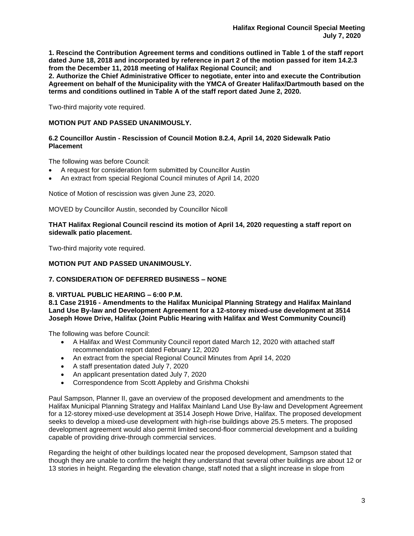**1. Rescind the Contribution Agreement terms and conditions outlined in Table 1 of the staff report dated June 18, 2018 and incorporated by reference in part 2 of the motion passed for item 14.2.3 from the December 11, 2018 meeting of Halifax Regional Council; and**

**2. Authorize the Chief Administrative Officer to negotiate, enter into and execute the Contribution Agreement on behalf of the Municipality with the YMCA of Greater Halifax/Dartmouth based on the terms and conditions outlined in Table A of the staff report dated June 2, 2020.**

Two-third majority vote required.

## **MOTION PUT AND PASSED UNANIMOUSLY.**

# **6.2 Councillor Austin - Rescission of Council Motion 8.2.4, April 14, 2020 Sidewalk Patio Placement**

The following was before Council:

- A request for consideration form submitted by Councillor Austin
- An extract from special Regional Council minutes of April 14, 2020

Notice of Motion of rescission was given June 23, 2020.

MOVED by Councillor Austin, seconded by Councillor Nicoll

**THAT Halifax Regional Council rescind its motion of April 14, 2020 requesting a staff report on sidewalk patio placement.**

Two-third majority vote required.

## **MOTION PUT AND PASSED UNANIMOUSLY.**

# **7. CONSIDERATION OF DEFERRED BUSINESS – NONE**

### **8. VIRTUAL PUBLIC HEARING – 6:00 P.M.**

**8.1 Case 21916 - Amendments to the Halifax Municipal Planning Strategy and Halifax Mainland Land Use By-law and Development Agreement for a 12-storey mixed-use development at 3514 Joseph Howe Drive, Halifax (Joint Public Hearing with Halifax and West Community Council)**

The following was before Council:

- A Halifax and West Community Council report dated March 12, 2020 with attached staff recommendation report dated February 12, 2020
- An extract from the special Regional Council Minutes from April 14, 2020
- A staff presentation dated July 7, 2020
- An applicant presentation dated July 7, 2020
- Correspondence from Scott Appleby and Grishma Chokshi

Paul Sampson, Planner II, gave an overview of the proposed development and amendments to the Halifax Municipal Planning Strategy and Halifax Mainland Land Use By-law and Development Agreement for a 12-storey mixed-use development at 3514 Joseph Howe Drive, Halifax. The proposed development seeks to develop a mixed-use development with high-rise buildings above 25.5 meters. The proposed development agreement would also permit limited second-floor commercial development and a building capable of providing drive-through commercial services.

Regarding the height of other buildings located near the proposed development, Sampson stated that though they are unable to confirm the height they understand that several other buildings are about 12 or 13 stories in height. Regarding the elevation change, staff noted that a slight increase in slope from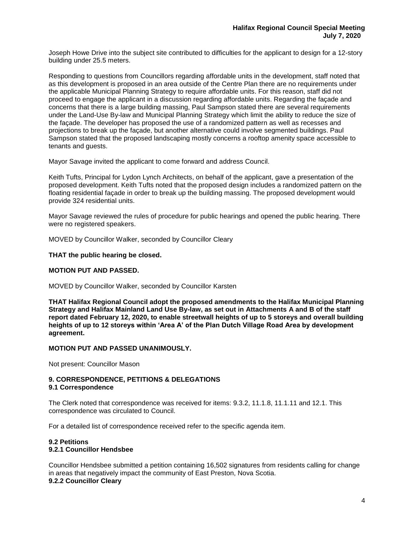Joseph Howe Drive into the subject site contributed to difficulties for the applicant to design for a 12-story building under 25.5 meters.

Responding to questions from Councillors regarding affordable units in the development, staff noted that as this development is proposed in an area outside of the Centre Plan there are no requirements under the applicable Municipal Planning Strategy to require affordable units. For this reason, staff did not proceed to engage the applicant in a discussion regarding affordable units. Regarding the façade and concerns that there is a large building massing, Paul Sampson stated there are several requirements under the Land-Use By-law and Municipal Planning Strategy which limit the ability to reduce the size of the façade. The developer has proposed the use of a randomized pattern as well as recesses and projections to break up the façade, but another alternative could involve segmented buildings. Paul Sampson stated that the proposed landscaping mostly concerns a rooftop amenity space accessible to tenants and guests.

Mayor Savage invited the applicant to come forward and address Council.

Keith Tufts, Principal for Lydon Lynch Architects, on behalf of the applicant, gave a presentation of the proposed development. Keith Tufts noted that the proposed design includes a randomized pattern on the floating residential façade in order to break up the building massing. The proposed development would provide 324 residential units.

Mayor Savage reviewed the rules of procedure for public hearings and opened the public hearing. There were no registered speakers.

MOVED by Councillor Walker, seconded by Councillor Cleary

**THAT the public hearing be closed.** 

## **MOTION PUT AND PASSED.**

MOVED by Councillor Walker, seconded by Councillor Karsten

**THAT Halifax Regional Council adopt the proposed amendments to the Halifax Municipal Planning Strategy and Halifax Mainland Land Use By-law, as set out in Attachments A and B of the staff report dated February 12, 2020, to enable streetwall heights of up to 5 storeys and overall building heights of up to 12 storeys within 'Area A' of the Plan Dutch Village Road Area by development agreement.**

### **MOTION PUT AND PASSED UNANIMOUSLY.**

Not present: Councillor Mason

#### **9. CORRESPONDENCE, PETITIONS & DELEGATIONS 9.1 Correspondence**

The Clerk noted that correspondence was received for items: 9.3.2, 11.1.8, 11.1.11 and 12.1. This correspondence was circulated to Council.

For a detailed list of correspondence received refer to the specific agenda item.

#### **9.2 Petitions 9.2.1 Councillor Hendsbee**

Councillor Hendsbee submitted a petition containing 16,502 signatures from residents calling for change in areas that negatively impact the community of East Preston, Nova Scotia. **9.2.2 Councillor Cleary**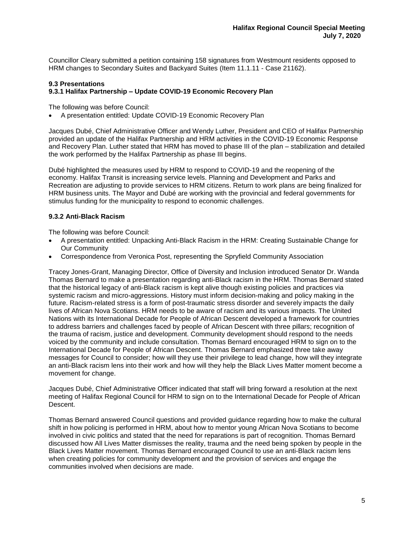Councillor Cleary submitted a petition containing 158 signatures from Westmount residents opposed to HRM changes to Secondary Suites and Backyard Suites (Item 11.1.11 - Case 21162).

## **9.3 Presentations 9.3.1 Halifax Partnership – Update COVID-19 Economic Recovery Plan**

The following was before Council:

• A presentation entitled: Update COVID-19 Economic Recovery Plan

Jacques Dubé, Chief Administrative Officer and Wendy Luther, President and CEO of Halifax Partnership provided an update of the Halifax Partnership and HRM activities in the COVID-19 Economic Response and Recovery Plan. Luther stated that HRM has moved to phase III of the plan – stabilization and detailed the work performed by the Halifax Partnership as phase III begins.

Dubé highlighted the measures used by HRM to respond to COVID-19 and the reopening of the economy. Halifax Transit is increasing service levels. Planning and Development and Parks and Recreation are adjusting to provide services to HRM citizens. Return to work plans are being finalized for HRM business units. The Mayor and Dubé are working with the provincial and federal governments for stimulus funding for the municipality to respond to economic challenges.

# **9.3.2 Anti-Black Racism**

The following was before Council:

- A presentation entitled: Unpacking Anti-Black Racism in the HRM: Creating Sustainable Change for Our Community
- Correspondence from Veronica Post, representing the Spryfield Community Association

Tracey Jones-Grant, Managing Director, Office of Diversity and Inclusion introduced Senator Dr. Wanda Thomas Bernard to make a presentation regarding anti-Black racism in the HRM. Thomas Bernard stated that the historical legacy of anti-Black racism is kept alive though existing policies and practices via systemic racism and micro-aggressions. History must inform decision-making and policy making in the future. Racism-related stress is a form of post-traumatic stress disorder and severely impacts the daily lives of African Nova Scotians. HRM needs to be aware of racism and its various impacts. The United Nations with its International Decade for People of African Descent developed a framework for countries to address barriers and challenges faced by people of African Descent with three pillars; recognition of the trauma of racism, justice and development. Community development should respond to the needs voiced by the community and include consultation. Thomas Bernard encouraged HRM to sign on to the International Decade for People of African Descent. Thomas Bernard emphasized three take away messages for Council to consider; how will they use their privilege to lead change, how will they integrate an anti-Black racism lens into their work and how will they help the Black Lives Matter moment become a movement for change.

Jacques Dubé, Chief Administrative Officer indicated that staff will bring forward a resolution at the next meeting of Halifax Regional Council for HRM to sign on to the International Decade for People of African Descent.

Thomas Bernard answered Council questions and provided guidance regarding how to make the cultural shift in how policing is performed in HRM, about how to mentor young African Nova Scotians to become involved in civic politics and stated that the need for reparations is part of recognition. Thomas Bernard discussed how All Lives Matter dismisses the reality, trauma and the need being spoken by people in the Black Lives Matter movement. Thomas Bernard encouraged Council to use an anti-Black racism lens when creating policies for community development and the provision of services and engage the communities involved when decisions are made.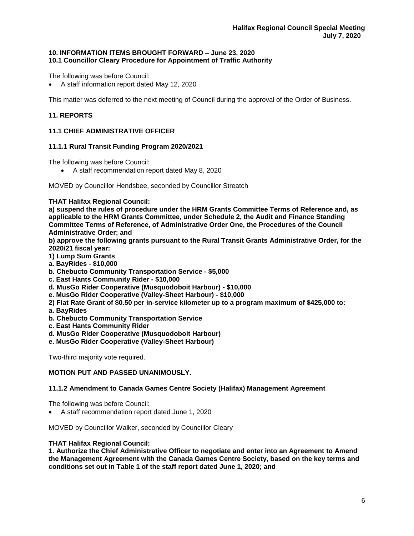## **10. INFORMATION ITEMS BROUGHT FORWARD – June 23, 2020 10.1 Councillor Cleary Procedure for Appointment of Traffic Authority**

The following was before Council:

• A staff information report dated May 12, 2020

This matter was deferred to the next meeting of Council during the approval of the Order of Business.

# **11. REPORTS**

## **11.1 CHIEF ADMINISTRATIVE OFFICER**

## **11.1.1 Rural Transit Funding Program 2020/2021**

The following was before Council:

• A staff recommendation report dated May 8, 2020

MOVED by Councillor Hendsbee, seconded by Councillor Streatch

**THAT Halifax Regional Council:**

**a) suspend the rules of procedure under the HRM Grants Committee Terms of Reference and, as applicable to the HRM Grants Committee, under Schedule 2, the Audit and Finance Standing Committee Terms of Reference, of Administrative Order One, the Procedures of the Council Administrative Order; and**

**b) approve the following grants pursuant to the Rural Transit Grants Administrative Order, for the 2020/21 fiscal year:**

- **1) Lump Sum Grants**
- **a. BayRides - \$10,000**
- **b. Chebucto Community Transportation Service - \$5,000**
- **c. East Hants Community Rider - \$10,000**
- **d. MusGo Rider Cooperative (Musquodoboit Harbour) - \$10,000**
- **e. MusGo Rider Cooperative (Valley-Sheet Harbour) - \$10,000**
- **2) Flat Rate Grant of \$0.50 per in-service kilometer up to a program maximum of \$425,000 to:**
- **a. BayRides**
- **b. Chebucto Community Transportation Service**
- **c. East Hants Community Rider**
- **d. MusGo Rider Cooperative (Musquodoboit Harbour)**
- **e. MusGo Rider Cooperative (Valley-Sheet Harbour)**

Two-third majority vote required.

## **MOTION PUT AND PASSED UNANIMOUSLY.**

### **11.1.2 Amendment to Canada Games Centre Society (Halifax) Management Agreement**

The following was before Council:

• A staff recommendation report dated June 1, 2020

MOVED by Councillor Walker, seconded by Councillor Cleary

### **THAT Halifax Regional Council:**

**1. Authorize the Chief Administrative Officer to negotiate and enter into an Agreement to Amend the Management Agreement with the Canada Games Centre Society, based on the key terms and conditions set out in Table 1 of the staff report dated June 1, 2020; and**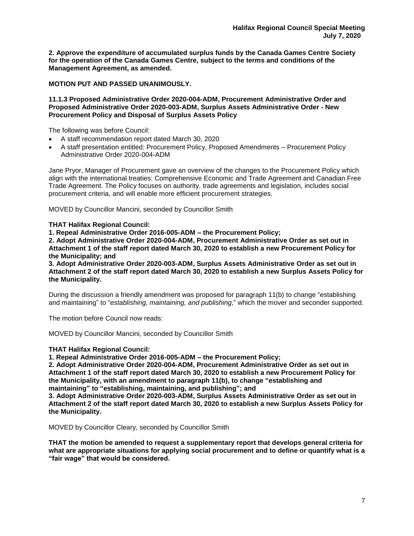**2. Approve the expenditure of accumulated surplus funds by the Canada Games Centre Society for the operation of the Canada Games Centre, subject to the terms and conditions of the Management Agreement, as amended.**

**MOTION PUT AND PASSED UNANIMOUSLY.** 

#### **11.1.3 Proposed Administrative Order 2020-004-ADM, Procurement Administrative Order and Proposed Administrative Order 2020-003-ADM, Surplus Assets Administrative Order - New Procurement Policy and Disposal of Surplus Assets Policy**

The following was before Council:

- A staff recommendation report dated March 30, 2020
- A staff presentation entitled: Procurement Policy, Proposed Amendments Procurement Policy Administrative Order 2020-004-ADM

Jane Pryor, Manager of Procurement gave an overview of the changes to the Procurement Policy which align with the international treaties: Comprehensive Economic and Trade Agreement and Canadian Free Trade Agreement. The Policy focuses on authority, trade agreements and legislation, includes social procurement criteria, and will enable more efficient procurement strategies.

MOVED by Councillor Mancini, seconded by Councillor Smith

**THAT Halifax Regional Council:**

**1. Repeal Administrative Order 2016-005-ADM – the Procurement Policy;**

**2. Adopt Administrative Order 2020-004-ADM, Procurement Administrative Order as set out in Attachment 1 of the staff report dated March 30, 2020 to establish a new Procurement Policy for the Municipality; and**

**3. Adopt Administrative Order 2020-003-ADM, Surplus Assets Administrative Order as set out in Attachment 2 of the staff report dated March 30, 2020 to establish a new Surplus Assets Policy for the Municipality.**

During the discussion a friendly amendment was proposed for paragraph 11(b) to change "establishing and maintaining" to "*establishing, maintaining, and publishing*," which the mover and seconder supported.

The motion before Council now reads:

MOVED by Councillor Mancini, seconded by Councillor Smith

# **THAT Halifax Regional Council:**

**1. Repeal Administrative Order 2016-005-ADM – the Procurement Policy;**

**2. Adopt Administrative Order 2020-004-ADM, Procurement Administrative Order as set out in Attachment 1 of the staff report dated March 30, 2020 to establish a new Procurement Policy for the Municipality, with an amendment to paragraph 11(b), to change "establishing and maintaining" to "establishing, maintaining, and publishing"; and**

**3. Adopt Administrative Order 2020-003-ADM, Surplus Assets Administrative Order as set out in Attachment 2 of the staff report dated March 30, 2020 to establish a new Surplus Assets Policy for the Municipality.**

MOVED by Councillor Cleary, seconded by Councillor Smith

**THAT the motion be amended to request a supplementary report that develops general criteria for what are appropriate situations for applying social procurement and to define or quantify what is a "fair wage" that would be considered.**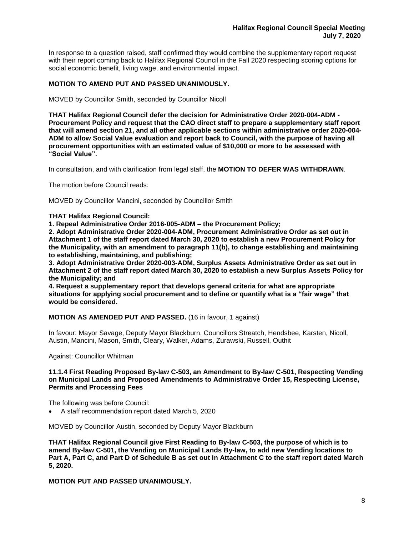In response to a question raised, staff confirmed they would combine the supplementary report request with their report coming back to Halifax Regional Council in the Fall 2020 respecting scoring options for social economic benefit, living wage, and environmental impact.

## **MOTION TO AMEND PUT AND PASSED UNANIMOUSLY.**

MOVED by Councillor Smith, seconded by Councillor Nicoll

**THAT Halifax Regional Council defer the decision for Administrative Order 2020-004-ADM - Procurement Policy and request that the CAO direct staff to prepare a supplementary staff report that will amend section 21, and all other applicable sections within administrative order 2020-004- ADM to allow Social Value evaluation and report back to Council, with the purpose of having all procurement opportunities with an estimated value of \$10,000 or more to be assessed with "Social Value".**

In consultation, and with clarification from legal staff, the **MOTION TO DEFER WAS WITHDRAWN**.

The motion before Council reads:

MOVED by Councillor Mancini, seconded by Councillor Smith

**THAT Halifax Regional Council:**

**1. Repeal Administrative Order 2016-005-ADM – the Procurement Policy;**

**2. Adopt Administrative Order 2020-004-ADM, Procurement Administrative Order as set out in Attachment 1 of the staff report dated March 30, 2020 to establish a new Procurement Policy for the Municipality, with an amendment to paragraph 11(b), to change establishing and maintaining to establishing, maintaining, and publishing;**

**3. Adopt Administrative Order 2020-003-ADM, Surplus Assets Administrative Order as set out in Attachment 2 of the staff report dated March 30, 2020 to establish a new Surplus Assets Policy for the Municipality; and** 

**4. Request a supplementary report that develops general criteria for what are appropriate situations for applying social procurement and to define or quantify what is a "fair wage" that would be considered.**

**MOTION AS AMENDED PUT AND PASSED.** (16 in favour, 1 against)

In favour: Mayor Savage, Deputy Mayor Blackburn, Councillors Streatch, Hendsbee, Karsten, Nicoll, Austin, Mancini, Mason, Smith, Cleary, Walker, Adams, Zurawski, Russell, Outhit

Against: Councillor Whitman

#### **11.1.4 First Reading Proposed By-law C-503, an Amendment to By-law C-501, Respecting Vending on Municipal Lands and Proposed Amendments to Administrative Order 15, Respecting License, Permits and Processing Fees**

The following was before Council:

• A staff recommendation report dated March 5, 2020

MOVED by Councillor Austin, seconded by Deputy Mayor Blackburn

**THAT Halifax Regional Council give First Reading to By-law C-503, the purpose of which is to amend By-law C-501, the Vending on Municipal Lands By-law, to add new Vending locations to Part A, Part C, and Part D of Schedule B as set out in Attachment C to the staff report dated March 5, 2020.**

**MOTION PUT AND PASSED UNANIMOUSLY.**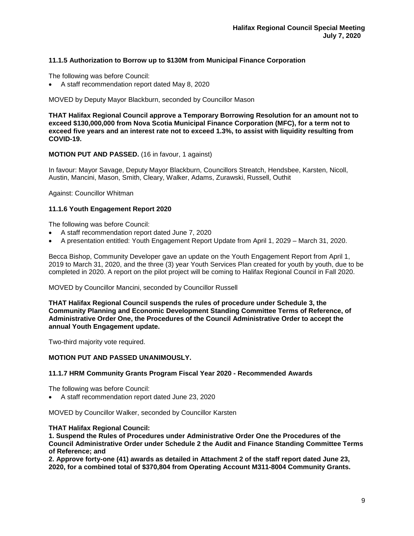# **11.1.5 Authorization to Borrow up to \$130M from Municipal Finance Corporation**

The following was before Council:

• A staff recommendation report dated May 8, 2020

MOVED by Deputy Mayor Blackburn, seconded by Councillor Mason

**THAT Halifax Regional Council approve a Temporary Borrowing Resolution for an amount not to exceed \$130,000,000 from Nova Scotia Municipal Finance Corporation (MFC), for a term not to exceed five years and an interest rate not to exceed 1.3%, to assist with liquidity resulting from COVID-19.**

### **MOTION PUT AND PASSED.** (16 in favour, 1 against)

In favour: Mayor Savage, Deputy Mayor Blackburn, Councillors Streatch, Hendsbee, Karsten, Nicoll, Austin, Mancini, Mason, Smith, Cleary, Walker, Adams, Zurawski, Russell, Outhit

Against: Councillor Whitman

## **11.1.6 Youth Engagement Report 2020**

The following was before Council:

- A staff recommendation report dated June 7, 2020
- A presentation entitled: Youth Engagement Report Update from April 1, 2029 March 31, 2020.

Becca Bishop, Community Developer gave an update on the Youth Engagement Report from April 1, 2019 to March 31, 2020, and the three (3) year Youth Services Plan created for youth by youth, due to be completed in 2020. A report on the pilot project will be coming to Halifax Regional Council in Fall 2020.

MOVED by Councillor Mancini, seconded by Councillor Russell

**THAT Halifax Regional Council suspends the rules of procedure under Schedule 3, the Community Planning and Economic Development Standing Committee Terms of Reference, of Administrative Order One, the Procedures of the Council Administrative Order to accept the annual Youth Engagement update.**

Two-third majority vote required.

## **MOTION PUT AND PASSED UNANIMOUSLY.**

### **11.1.7 HRM Community Grants Program Fiscal Year 2020 - Recommended Awards**

The following was before Council:

• A staff recommendation report dated June 23, 2020

MOVED by Councillor Walker, seconded by Councillor Karsten

### **THAT Halifax Regional Council:**

**1. Suspend the Rules of Procedures under Administrative Order One the Procedures of the Council Administrative Order under Schedule 2 the Audit and Finance Standing Committee Terms of Reference; and**

**2. Approve forty-one (41) awards as detailed in Attachment 2 of the staff report dated June 23, 2020, for a combined total of \$370,804 from Operating Account M311-8004 Community Grants.**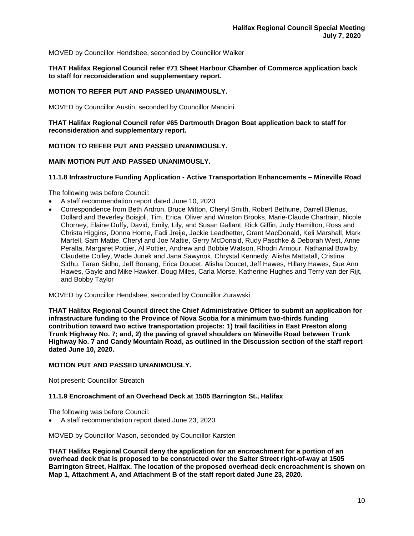MOVED by Councillor Hendsbee, seconded by Councillor Walker

**THAT Halifax Regional Council refer #71 Sheet Harbour Chamber of Commerce application back to staff for reconsideration and supplementary report.** 

# **MOTION TO REFER PUT AND PASSED UNANIMOUSLY.**

MOVED by Councillor Austin, seconded by Councillor Mancini

**THAT Halifax Regional Council refer #65 Dartmouth Dragon Boat application back to staff for reconsideration and supplementary report.** 

### **MOTION TO REFER PUT AND PASSED UNANIMOUSLY.**

## **MAIN MOTION PUT AND PASSED UNANIMOUSLY.**

### **11.1.8 Infrastructure Funding Application - Active Transportation Enhancements – Mineville Road**

The following was before Council:

- A staff recommendation report dated June 10, 2020
- Correspondence from Beth Ardron, Bruce Mitton, Cheryl Smith, Robert Bethune, Darrell Blenus, Dollard and Beverley Boisjoli, Tim, Erica, Oliver and Winston Brooks, Marie‐Claude Chartrain, Nicole Chorney, Elaine Duffy, David, Emily, Lily, and Susan Gallant, Rick Giffin, Judy Hamilton, Ross and Christa Higgins, Donna Horne, Fadi Jreije, Jackie Leadbetter, Grant MacDonald, Keli Marshall, Mark Martell, Sam Mattie, Cheryl and Joe Mattie, Gerry McDonald, Rudy Paschke & Deborah West, Anne Peralta, Margaret Pottier, Al Pottier, Andrew and Bobbie Watson, Rhodri Armour, Nathanial Bowlby, Claudette Colley, Wade Junek and Jana Sawynok, Chrystal Kennedy, Alisha Mattatall, Cristina Sidhu, Taran Sidhu, Jeff Bonang, Erica Doucet, Alisha Doucet, Jeff Hawes, Hillary Hawes, Sue Ann Hawes, Gayle and Mike Hawker, Doug Miles, Carla Morse, Katherine Hughes and Terry van der Rijt, and Bobby Taylor

MOVED by Councillor Hendsbee, seconded by Councillor Zurawski

**THAT Halifax Regional Council direct the Chief Administrative Officer to submit an application for infrastructure funding to the Province of Nova Scotia for a minimum two-thirds funding contribution toward two active transportation projects: 1) trail facilities in East Preston along Trunk Highway No. 7; and, 2) the paving of gravel shoulders on Mineville Road between Trunk Highway No. 7 and Candy Mountain Road, as outlined in the Discussion section of the staff report dated June 10, 2020.**

## **MOTION PUT AND PASSED UNANIMOUSLY.**

Not present: Councillor Streatch

### **11.1.9 Encroachment of an Overhead Deck at 1505 Barrington St., Halifax**

The following was before Council:

• A staff recommendation report dated June 23, 2020

MOVED by Councillor Mason, seconded by Councillor Karsten

**THAT Halifax Regional Council deny the application for an encroachment for a portion of an overhead deck that is proposed to be constructed over the Salter Street right-of-way at 1505 Barrington Street, Halifax. The location of the proposed overhead deck encroachment is shown on Map 1, Attachment A, and Attachment B of the staff report dated June 23, 2020.**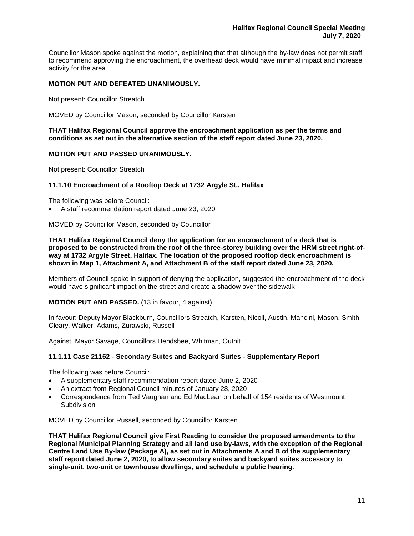Councillor Mason spoke against the motion, explaining that that although the by-law does not permit staff to recommend approving the encroachment, the overhead deck would have minimal impact and increase activity for the area.

# **MOTION PUT AND DEFEATED UNANIMOUSLY.**

Not present: Councillor Streatch

MOVED by Councillor Mason, seconded by Councillor Karsten

**THAT Halifax Regional Council approve the encroachment application as per the terms and conditions as set out in the alternative section of the staff report dated June 23, 2020.** 

## **MOTION PUT AND PASSED UNANIMOUSLY.**

Not present: Councillor Streatch

### **11.1.10 Encroachment of a Rooftop Deck at 1732 Argyle St., Halifax**

The following was before Council:

• A staff recommendation report dated June 23, 2020

MOVED by Councillor Mason, seconded by Councillor

**THAT Halifax Regional Council deny the application for an encroachment of a deck that is proposed to be constructed from the roof of the three-storey building over the HRM street right-ofway at 1732 Argyle Street, Halifax. The location of the proposed rooftop deck encroachment is shown in Map 1, Attachment A, and Attachment B of the staff report dated June 23, 2020.**

Members of Council spoke in support of denying the application, suggested the encroachment of the deck would have significant impact on the street and create a shadow over the sidewalk.

**MOTION PUT AND PASSED.** (13 in favour, 4 against)

In favour: Deputy Mayor Blackburn, Councillors Streatch, Karsten, Nicoll, Austin, Mancini, Mason, Smith, Cleary, Walker, Adams, Zurawski, Russell

Against: Mayor Savage, Councillors Hendsbee, Whitman, Outhit

### **11.1.11 Case 21162 - Secondary Suites and Backyard Suites - Supplementary Report**

The following was before Council:

- A supplementary staff recommendation report dated June 2, 2020
- An extract from Regional Council minutes of January 28, 2020
- Correspondence from Ted Vaughan and Ed MacLean on behalf of 154 residents of Westmount **Subdivision**

MOVED by Councillor Russell, seconded by Councillor Karsten

**THAT Halifax Regional Council give First Reading to consider the proposed amendments to the Regional Municipal Planning Strategy and all land use by-laws, with the exception of the Regional Centre Land Use By-law (Package A), as set out in Attachments A and B of the supplementary staff report dated June 2, 2020, to allow secondary suites and backyard suites accessory to single-unit, two-unit or townhouse dwellings, and schedule a public hearing.**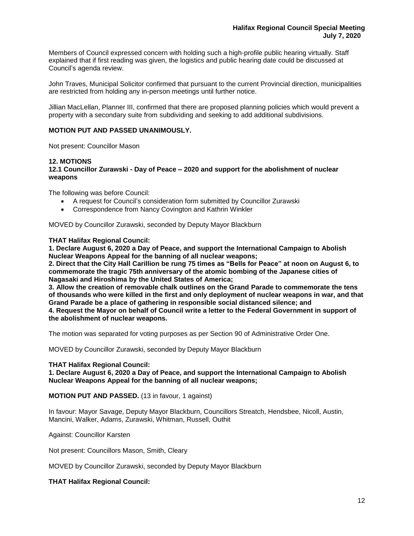Members of Council expressed concern with holding such a high-profile public hearing virtually. Staff explained that if first reading was given, the logistics and public hearing date could be discussed at Council's agenda review.

John Traves, Municipal Solicitor confirmed that pursuant to the current Provincial direction, municipalities are restricted from holding any in-person meetings until further notice.

Jillian MacLellan, Planner III, confirmed that there are proposed planning policies which would prevent a property with a secondary suite from subdividing and seeking to add additional subdivisions.

## **MOTION PUT AND PASSED UNANIMOUSLY.**

Not present: Councillor Mason

#### **12. MOTIONS**

**12.1 Councillor Zurawski - Day of Peace – 2020 and support for the abolishment of nuclear weapons**

The following was before Council:

- A request for Council's consideration form submitted by Councillor Zurawski
- Correspondence from Nancy Covington and Kathrin Winkler

MOVED by Councillor Zurawski, seconded by Deputy Mayor Blackburn

#### **THAT Halifax Regional Council:**

**1. Declare August 6, 2020 a Day of Peace, and support the International Campaign to Abolish Nuclear Weapons Appeal for the banning of all nuclear weapons;**

**2. Direct that the City Hall Carillion be rung 75 times as "Bells for Peace" at noon on August 6, to commemorate the tragic 75th anniversary of the atomic bombing of the Japanese cities of Nagasaki and Hiroshima by the United States of America;**

**3. Allow the creation of removable chalk outlines on the Grand Parade to commemorate the tens of thousands who were killed in the first and only deployment of nuclear weapons in war, and that Grand Parade be a place of gathering in responsible social distanced silence; and 4. Request the Mayor on behalf of Council write a letter to the Federal Government in support of the abolishment of nuclear weapons.**

The motion was separated for voting purposes as per Section 90 of Administrative Order One.

MOVED by Councillor Zurawski, seconded by Deputy Mayor Blackburn

#### **THAT Halifax Regional Council:**

**1. Declare August 6, 2020 a Day of Peace, and support the International Campaign to Abolish Nuclear Weapons Appeal for the banning of all nuclear weapons;**

**MOTION PUT AND PASSED.** (13 in favour, 1 against)

In favour: Mayor Savage, Deputy Mayor Blackburn, Councillors Streatch, Hendsbee, Nicoll, Austin, Mancini, Walker, Adams, Zurawski, Whitman, Russell, Outhit

Against: Councillor Karsten

Not present: Councillors Mason, Smith, Cleary

MOVED by Councillor Zurawski, seconded by Deputy Mayor Blackburn

### **THAT Halifax Regional Council:**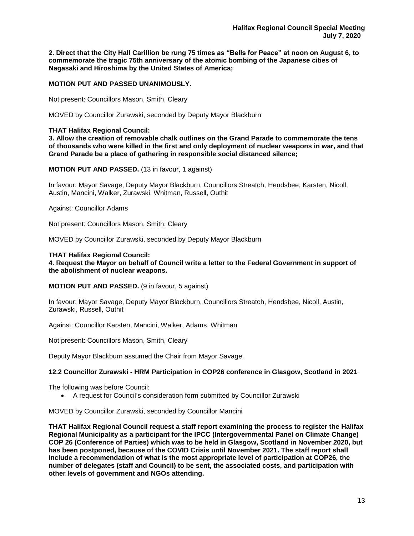**2. Direct that the City Hall Carillion be rung 75 times as "Bells for Peace" at noon on August 6, to commemorate the tragic 75th anniversary of the atomic bombing of the Japanese cities of Nagasaki and Hiroshima by the United States of America;**

## **MOTION PUT AND PASSED UNANIMOUSLY.**

Not present: Councillors Mason, Smith, Cleary

MOVED by Councillor Zurawski, seconded by Deputy Mayor Blackburn

#### **THAT Halifax Regional Council:**

**3. Allow the creation of removable chalk outlines on the Grand Parade to commemorate the tens of thousands who were killed in the first and only deployment of nuclear weapons in war, and that Grand Parade be a place of gathering in responsible social distanced silence;**

#### **MOTION PUT AND PASSED.** (13 in favour, 1 against)

In favour: Mayor Savage, Deputy Mayor Blackburn, Councillors Streatch, Hendsbee, Karsten, Nicoll, Austin, Mancini, Walker, Zurawski, Whitman, Russell, Outhit

Against: Councillor Adams

Not present: Councillors Mason, Smith, Cleary

MOVED by Councillor Zurawski, seconded by Deputy Mayor Blackburn

#### **THAT Halifax Regional Council:**

**4. Request the Mayor on behalf of Council write a letter to the Federal Government in support of the abolishment of nuclear weapons.**

## **MOTION PUT AND PASSED.** (9 in favour, 5 against)

In favour: Mayor Savage, Deputy Mayor Blackburn, Councillors Streatch, Hendsbee, Nicoll, Austin, Zurawski, Russell, Outhit

Against: Councillor Karsten, Mancini, Walker, Adams, Whitman

Not present: Councillors Mason, Smith, Cleary

Deputy Mayor Blackburn assumed the Chair from Mayor Savage.

### **12.2 Councillor Zurawski - HRM Participation in COP26 conference in Glasgow, Scotland in 2021**

The following was before Council:

• A request for Council's consideration form submitted by Councillor Zurawski

MOVED by Councillor Zurawski, seconded by Councillor Mancini

**THAT Halifax Regional Council request a staff report examining the process to register the Halifax Regional Municipality as a participant for the IPCC (Intergovernmental Panel on Climate Change) COP 26 (Conference of Parties) which was to be held in Glasgow, Scotland in November 2020, but has been postponed, because of the COVID Crisis until November 2021. The staff report shall include a recommendation of what is the most appropriate level of participation at COP26, the number of delegates (staff and Council) to be sent, the associated costs, and participation with other levels of government and NGOs attending.**